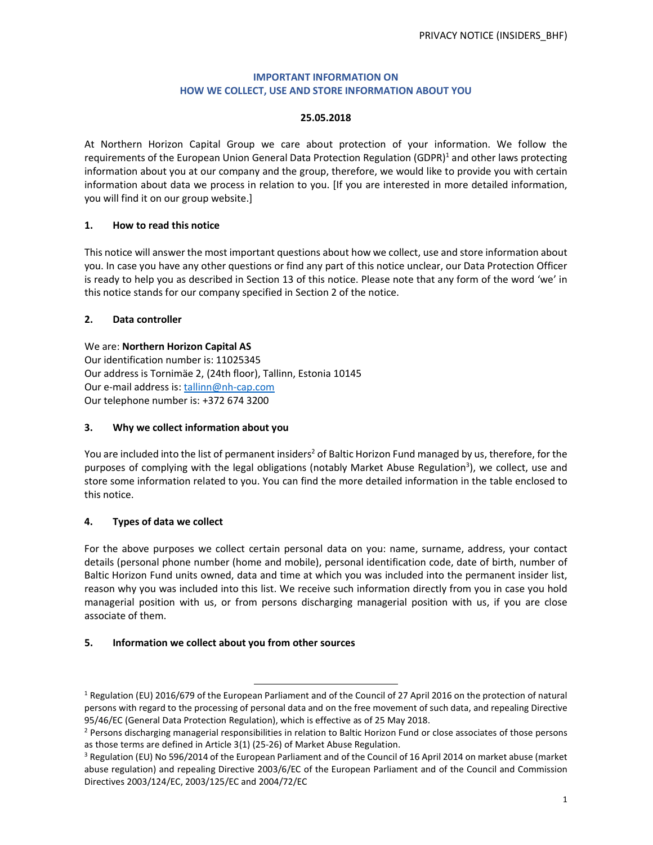### **IMPORTANT INFORMATION ON HOW WE COLLECT, USE AND STORE INFORMATION ABOUT YOU**

#### **25.05.2018**

At Northern Horizon Capital Group we care about protection of your information. We follow the requirements of the European Union General Data Protection Regulation (GDPR)<sup>1</sup> and other laws protecting information about you at our company and the group, therefore, we would like to provide you with certain information about data we process in relation to you. [If you are interested in more detailed information, you will find it on our group website.]

### **1. How to read this notice**

This notice will answer the most important questions about how we collect, use and store information about you. In case you have any other questions or find any part of this notice unclear, our Data Protection Officer is ready to help you as described in Section 13 of this notice. Please note that any form of the word 'we' in this notice stands for our company specified in Section 2 of the notice.

### **2. Data controller**

We are: **Northern Horizon Capital AS**  Our identification number is: 11025345 Our address is Tornimäe 2, (24th floor), Tallinn, Estonia 10145 Our e-mail address is: tallinn@nh-cap.com Our telephone number is: +372 674 3200

### **3. Why we collect information about you**

You are included into the list of permanent insiders<sup>2</sup> of Baltic Horizon Fund managed by us, therefore, for the purposes of complying with the legal obligations (notably Market Abuse Regulation<sup>3</sup>), we collect, use and store some information related to you. You can find the more detailed information in the table enclosed to this notice.

## **4. Types of data we collect**

For the above purposes we collect certain personal data on you: name, surname, address, your contact details (personal phone number (home and mobile), personal identification code, date of birth, number of Baltic Horizon Fund units owned, data and time at which you was included into the permanent insider list, reason why you was included into this list. We receive such information directly from you in case you hold managerial position with us, or from persons discharging managerial position with us, if you are close associate of them.

#### **5. Information we collect about you from other sources**

1

<sup>&</sup>lt;sup>1</sup> Regulation (EU) 2016/679 of the European Parliament and of the Council of 27 April 2016 on the protection of natural persons with regard to the processing of personal data and on the free movement of such data, and repealing Directive 95/46/EC (General Data Protection Regulation), which is effective as of 25 May 2018.

<sup>&</sup>lt;sup>2</sup> Persons discharging managerial responsibilities in relation to Baltic Horizon Fund or close associates of those persons as those terms are defined in Article 3(1) (25-26) of Market Abuse Regulation.

<sup>&</sup>lt;sup>3</sup> Regulation (EU) No 596/2014 of the European Parliament and of the Council of 16 April 2014 on market abuse (market abuse regulation) and repealing Directive 2003/6/EC of the European Parliament and of the Council and Commission Directives 2003/124/EC, 2003/125/EC and 2004/72/EC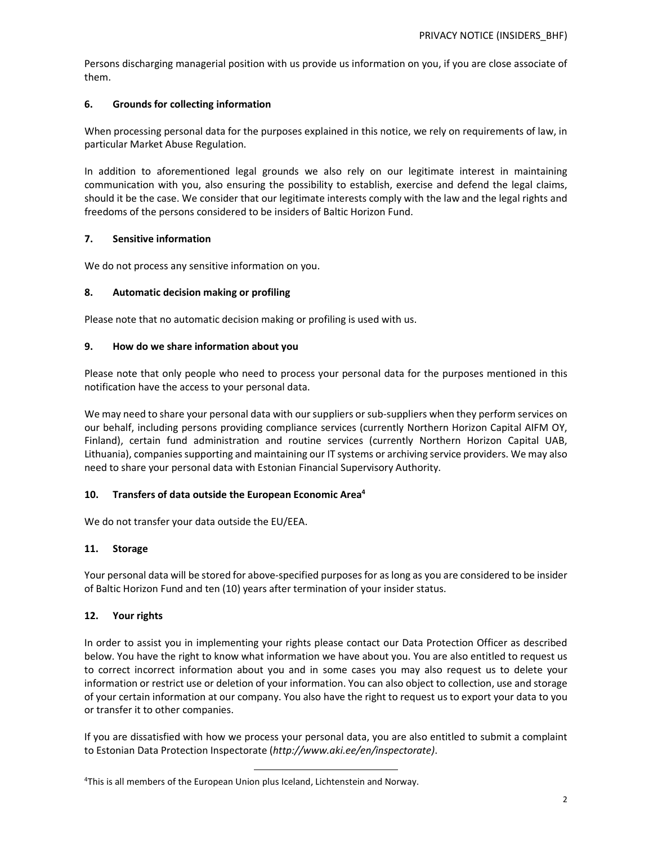Persons discharging managerial position with us provide us information on you, if you are close associate of them.

### **6. Grounds for collecting information**

When processing personal data for the purposes explained in this notice, we rely on requirements of law, in particular Market Abuse Regulation.

In addition to aforementioned legal grounds we also rely on our legitimate interest in maintaining communication with you, also ensuring the possibility to establish, exercise and defend the legal claims, should it be the case. We consider that our legitimate interests comply with the law and the legal rights and freedoms of the persons considered to be insiders of Baltic Horizon Fund.

### **7. Sensitive information**

We do not process any sensitive information on you.

### **8. Automatic decision making or profiling**

Please note that no automatic decision making or profiling is used with us.

#### **9. How do we share information about you**

Please note that only people who need to process your personal data for the purposes mentioned in this notification have the access to your personal data.

We may need to share your personal data with our suppliers or sub-suppliers when they perform services on our behalf, including persons providing compliance services (currently Northern Horizon Capital AIFM OY, Finland), certain fund administration and routine services (currently Northern Horizon Capital UAB, Lithuania), companies supporting and maintaining our IT systems or archiving service providers. We may also need to share your personal data with Estonian Financial Supervisory Authority.

#### **10. Transfers of data outside the European Economic Area 4**

We do not transfer your data outside the EU/EEA.

#### **11. Storage**

Your personal data will be stored for above-specified purposes for as long as you are considered to be insider of Baltic Horizon Fund and ten (10) years after termination of your insider status.

#### **12. Your rights**

In order to assist you in implementing your rights please contact our Data Protection Officer as described below. You have the right to know what information we have about you. You are also entitled to request us to correct incorrect information about you and in some cases you may also request us to delete your information or restrict use or deletion of your information. You can also object to collection, use and storage of your certain information at our company. You also have the right to request us to export your data to you or transfer it to other companies.

If you are dissatisfied with how we process your personal data, you are also entitled to submit a complaint to Estonian Data Protection Inspectorate (*http://www.aki.ee/en/inspectorate)*.

<sup>1</sup> <sup>4</sup>This is all members of the European Union plus Iceland, Lichtenstein and Norway.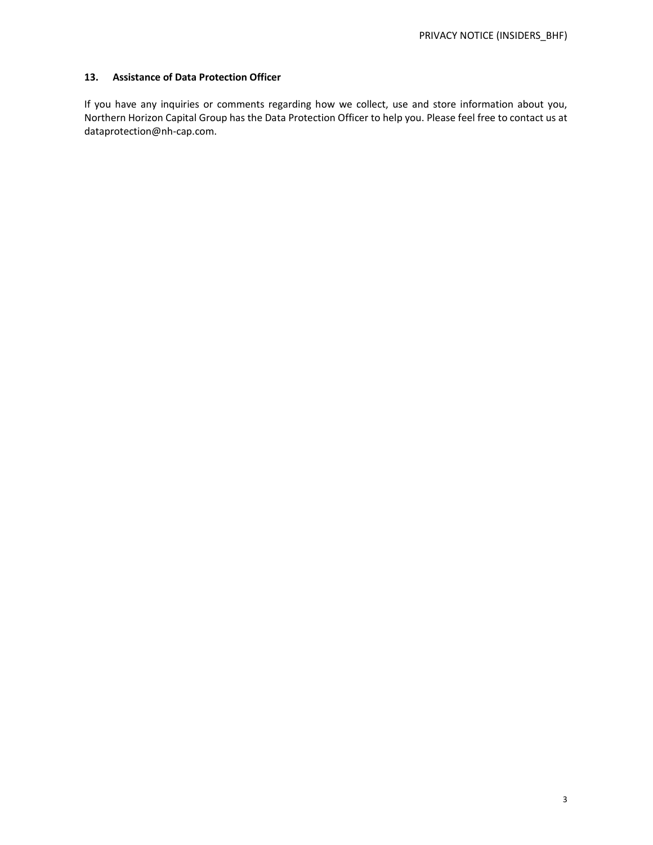### **13. Assistance of Data Protection Officer**

If you have any inquiries or comments regarding how we collect, use and store information about you, Northern Horizon Capital Group has the Data Protection Officer to help you. Please feel free to contact us at dataprotection@nh-cap.com.